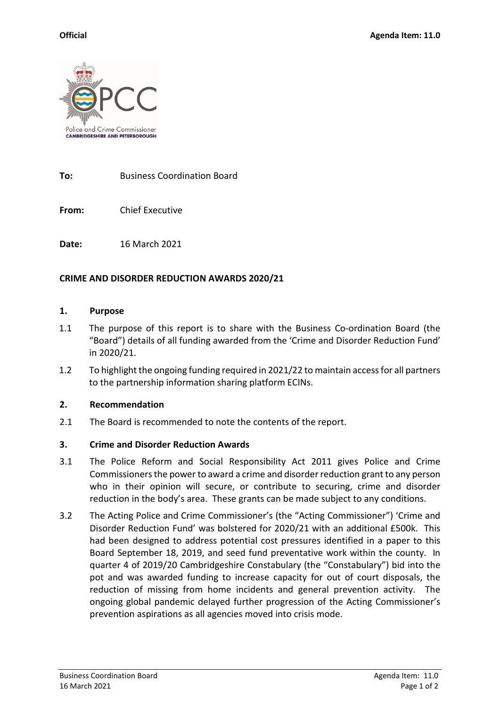

**To:** Business Coordination Board

**From:** Chief Executive

**Date:** 16 March 2021

## **CRIME AND DISORDER REDUCTION AWARDS 2020/21**

### **1. Purpose**

- 1.1 The purpose of this report is to share with the Business Co-ordination Board (the "Board") details of all funding awarded from the 'Crime and Disorder Reduction Fund' in 2020/21.
- 1.2 To highlight the ongoing funding required in 2021/22 to maintain access for all partners to the partnership information sharing platform ECINs.

## **2. Recommendation**

2.1 The Board is recommended to note the contents of the report.

## **3. Crime and Disorder Reduction Awards**

- 3.1 The Police Reform and Social Responsibility Act 2011 gives Police and Crime Commissioners the power to award a crime and disorder reduction grant to any person who in their opinion will secure, or contribute to securing, crime and disorder reduction in the body's area. These grants can be made subject to any conditions.
- 3.2 The Acting Police and Crime Commissioner's (the "Acting Commissioner") 'Crime and Disorder Reduction Fund' was bolstered for 2020/21 with an additional £500k. This had been designed to address potential cost pressures identified in a paper to this Board September 18, 2019, and seed fund preventative work within the county. In quarter 4 of 2019/20 Cambridgeshire Constabulary (the "Constabulary") bid into the pot and was awarded funding to increase capacity for out of court disposals, the reduction of missing from home incidents and general prevention activity. The ongoing global pandemic delayed further progression of the Acting Commissioner's prevention aspirations as all agencies moved into crisis mode.